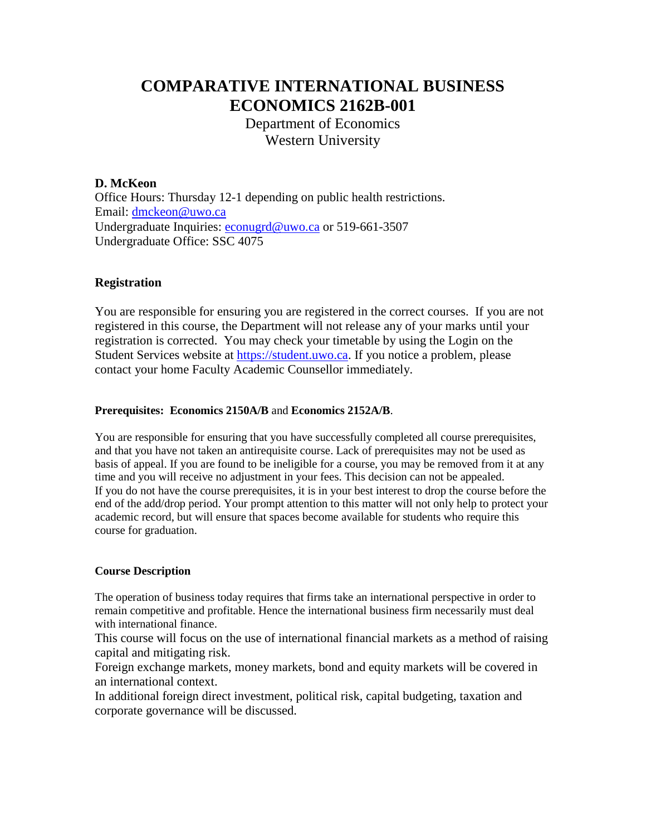# **COMPARATIVE INTERNATIONAL BUSINESS ECONOMICS 2162B-001**

Department of Economics Western University

## **D. McKeon**

Office Hours: Thursday 12-1 depending on public health restrictions. Email: [dmckeon@uwo.ca](mailto:dmckeon@uwo.ca) Undergraduate Inquiries: [econugrd@uwo.ca](mailto:econugrd@uwo.ca) or 519-661-3507 Undergraduate Office: SSC 4075

## **Registration**

You are responsible for ensuring you are registered in the correct courses. If you are not registered in this course, the Department will not release any of your marks until your registration is corrected. You may check your timetable by using the Login on the Student Services website at [https://student.uwo.ca.](https://student.uwo.ca/) If you notice a problem, please contact your home Faculty Academic Counsellor immediately.

## **Prerequisites: Economics 2150A/B** and **Economics 2152A/B**.

You are responsible for ensuring that you have successfully completed all course prerequisites, and that you have not taken an antirequisite course. Lack of prerequisites may not be used as basis of appeal. If you are found to be ineligible for a course, you may be removed from it at any time and you will receive no adjustment in your fees. This decision can not be appealed. If you do not have the course prerequisites, it is in your best interest to drop the course before the end of the add/drop period. Your prompt attention to this matter will not only help to protect your academic record, but will ensure that spaces become available for students who require this course for graduation.

#### **Course Description**

The operation of business today requires that firms take an international perspective in order to remain competitive and profitable. Hence the international business firm necessarily must deal with international finance.

This course will focus on the use of international financial markets as a method of raising capital and mitigating risk.

Foreign exchange markets, money markets, bond and equity markets will be covered in an international context.

In additional foreign direct investment, political risk, capital budgeting, taxation and corporate governance will be discussed.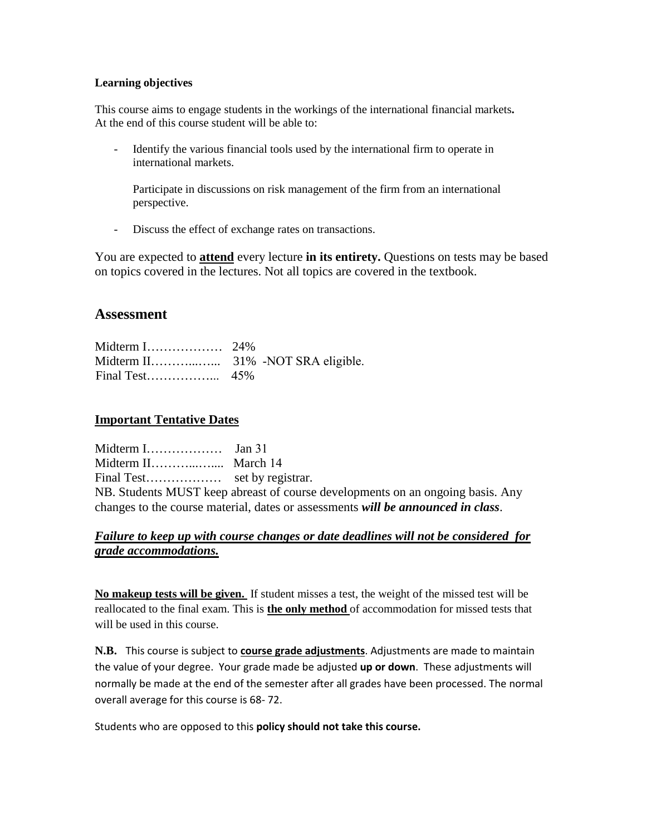#### **Learning objectives**

This course aims to engage students in the workings of the international financial markets**.**  At the end of this course student will be able to:

Identify the various financial tools used by the international firm to operate in international markets.

Participate in discussions on risk management of the firm from an international perspective.

- Discuss the effect of exchange rates on transactions.

You are expected to **attend** every lecture **in its entirety.** Questions on tests may be based on topics covered in the lectures. Not all topics are covered in the textbook.

## **Assessment**

## **Important Tentative Dates**

Midterm I……………… Jan 31 Midterm II………...….... March 14 Final Test……………… set by registrar. NB. Students MUST keep abreast of course developments on an ongoing basis. Any changes to the course material, dates or assessments *will be announced in class*.

## *Failure to keep up with course changes or date deadlines will not be considered for grade accommodations.*

**No makeup tests will be given.** If student misses a test, the weight of the missed test will be reallocated to the final exam. This is **the only method** of accommodation for missed tests that will be used in this course.

**N.B.** This course is subject to **course grade adjustments**. Adjustments are made to maintain the value of your degree. Your grade made be adjusted **up or down**. These adjustments will normally be made at the end of the semester after all grades have been processed. The normal overall average for this course is 68- 72.

Students who are opposed to this **policy should not take this course.**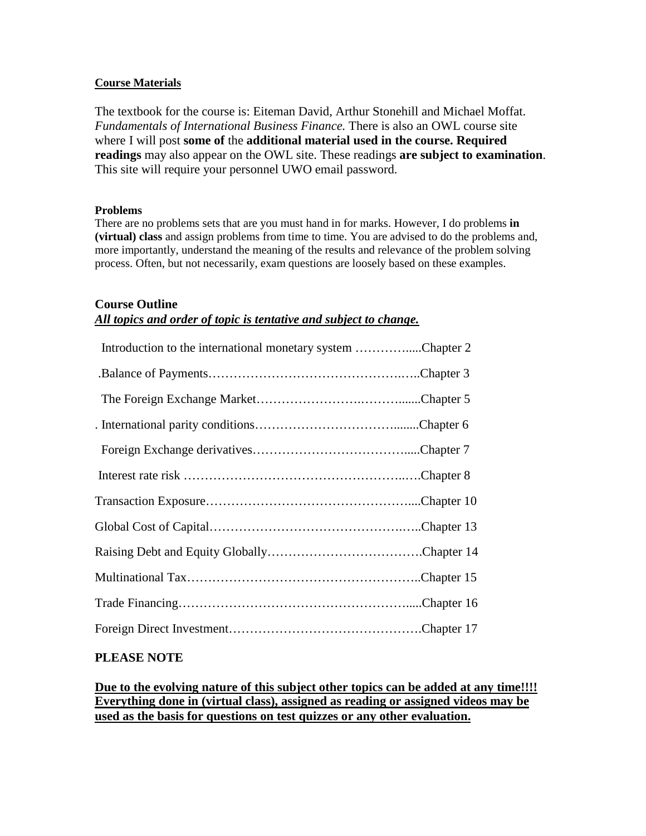#### **Course Materials**

The textbook for the course is: Eiteman David, Arthur Stonehill and Michael Moffat. *Fundamentals of International Business Finance.* There is also an OWL course site where I will post **some of** the **additional material used in the course. Required readings** may also appear on the OWL site. These readings **are subject to examination**. This site will require your personnel UWO email password.

#### **Problems**

There are no problems sets that are you must hand in for marks. However, I do problems **in (virtual) class** and assign problems from time to time. You are advised to do the problems and, more importantly, understand the meaning of the results and relevance of the problem solving process. Often, but not necessarily, exam questions are loosely based on these examples.

## **Course Outline**

## *All topics and order of topic is tentative and subject to change.*

| Introduction to the international monetary system Chapter 2 |  |
|-------------------------------------------------------------|--|
|                                                             |  |
|                                                             |  |
|                                                             |  |
|                                                             |  |
|                                                             |  |
|                                                             |  |
|                                                             |  |
|                                                             |  |
|                                                             |  |
|                                                             |  |
|                                                             |  |
|                                                             |  |

## **PLEASE NOTE**

**Due to the evolving nature of this subject other topics can be added at any time!!!! Everything done in (virtual class), assigned as reading or assigned videos may be used as the basis for questions on test quizzes or any other evaluation.**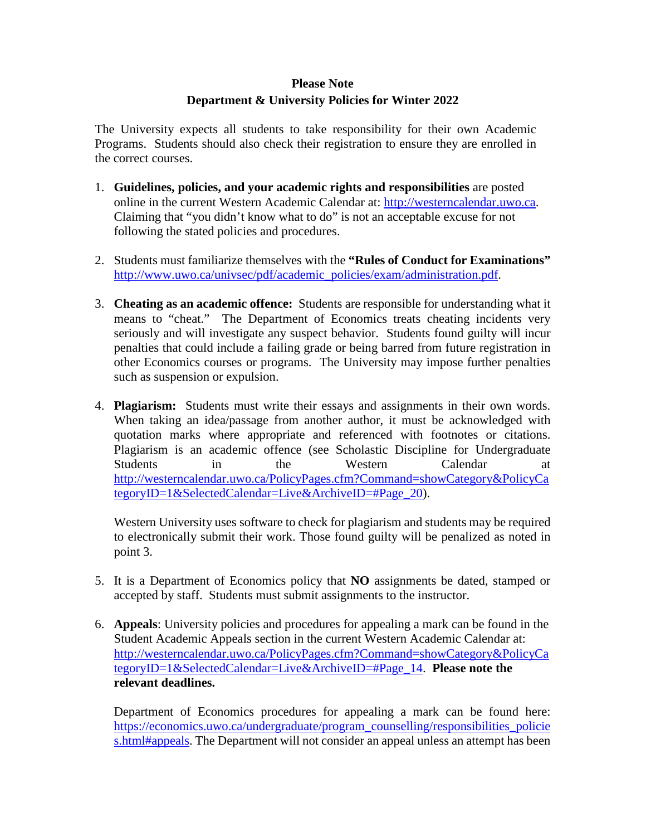# **Please Note Department & University Policies for Winter 2022**

The University expects all students to take responsibility for their own Academic Programs. Students should also check their registration to ensure they are enrolled in the correct courses.

- 1. **Guidelines, policies, and your academic rights and responsibilities** are posted online in the current Western Academic Calendar at: [http://westerncalendar.uwo.ca.](http://westerncalendar.uwo.ca/) Claiming that "you didn't know what to do" is not an acceptable excuse for not following the stated policies and procedures.
- 2. Students must familiarize themselves with the **"Rules of Conduct for Examinations"** [http://www.uwo.ca/univsec/pdf/academic\\_policies/exam/administration.pdf.](http://www.uwo.ca/univsec/pdf/academic_policies/exam/administration.pdf)
- 3. **Cheating as an academic offence:** Students are responsible for understanding what it means to "cheat." The Department of Economics treats cheating incidents very seriously and will investigate any suspect behavior. Students found guilty will incur penalties that could include a failing grade or being barred from future registration in other Economics courses or programs. The University may impose further penalties such as suspension or expulsion.
- 4. **Plagiarism:** Students must write their essays and assignments in their own words. When taking an idea/passage from another author, it must be acknowledged with quotation marks where appropriate and referenced with footnotes or citations. Plagiarism is an academic offence (see Scholastic Discipline for Undergraduate Students in the Western Calendar at [http://westerncalendar.uwo.ca/PolicyPages.cfm?Command=showCategory&PolicyCa](http://westerncalendar.uwo.ca/PolicyPages.cfm?Command=showCategory&PolicyCategoryID=1&SelectedCalendar=Live&ArchiveID=#Page_20) tegoryID=1&SelectedCalendar=Live&ArchiveID=#Page 20).

Western University uses software to check for plagiarism and students may be required to electronically submit their work. Those found guilty will be penalized as noted in point 3.

- 5. It is a Department of Economics policy that **NO** assignments be dated, stamped or accepted by staff. Students must submit assignments to the instructor.
- 6. **Appeals**: University policies and procedures for appealing a mark can be found in the Student Academic Appeals section in the current Western Academic Calendar at: [http://westerncalendar.uwo.ca/PolicyPages.cfm?Command=showCategory&PolicyCa](http://westerncalendar.uwo.ca/PolicyPages.cfm?Command=showCategory&PolicyCategoryID=1&SelectedCalendar=Live&ArchiveID=#Page_14) [tegoryID=1&SelectedCalendar=Live&ArchiveID=#Page\\_14.](http://westerncalendar.uwo.ca/PolicyPages.cfm?Command=showCategory&PolicyCategoryID=1&SelectedCalendar=Live&ArchiveID=#Page_14) **Please note the relevant deadlines.**

Department of Economics procedures for appealing a mark can be found here: [https://economics.uwo.ca/undergraduate/program\\_counselling/responsibilities\\_policie](https://economics.uwo.ca/undergraduate/program_counselling/responsibilities_policies.html#appeals) [s.html#appeals.](https://economics.uwo.ca/undergraduate/program_counselling/responsibilities_policies.html#appeals) The Department will not consider an appeal unless an attempt has been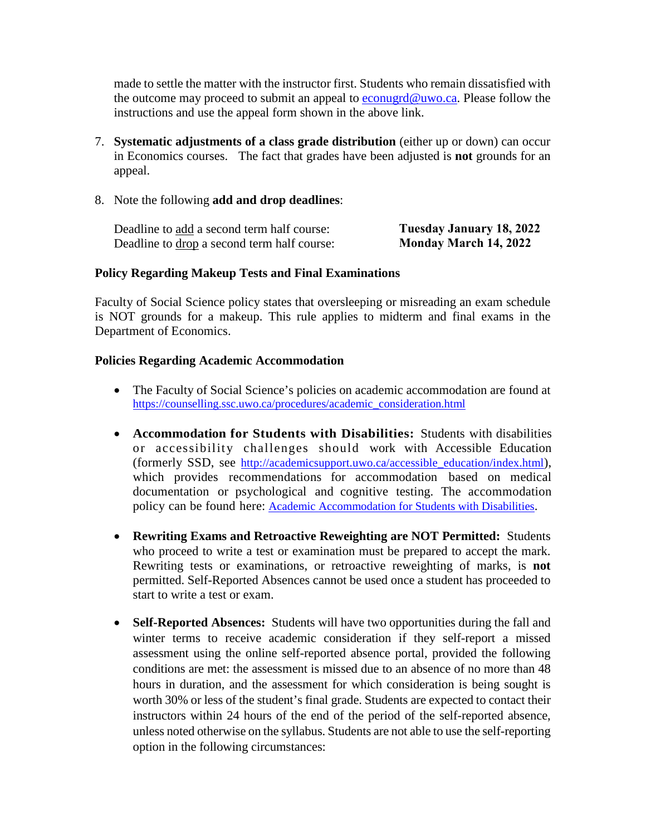made to settle the matter with the instructor first. Students who remain dissatisfied with the outcome may proceed to submit an appeal to  $econugrd@uwo.ca$ . Please follow the</u> instructions and use the appeal form shown in the above link.

- 7. **Systematic adjustments of a class grade distribution** (either up or down) can occur in Economics courses. The fact that grades have been adjusted is **not** grounds for an appeal.
- 8. Note the following **add and drop deadlines**:

| Deadline to add a second term half course:         | Tuesday January 18, 2022     |
|----------------------------------------------------|------------------------------|
| Deadline to <u>drop</u> a second term half course: | <b>Monday March 14, 2022</b> |

## **Policy Regarding Makeup Tests and Final Examinations**

Faculty of Social Science policy states that oversleeping or misreading an exam schedule is NOT grounds for a makeup. This rule applies to midterm and final exams in the Department of Economics.

## **Policies Regarding Academic Accommodation**

- The Faculty of Social Science's policies on academic accommodation are found at [https://counselling.ssc.uwo.ca/procedures/academic\\_consideration.html](https://counselling.ssc.uwo.ca/procedures/academic_consideration.html)
- **Accommodation for Students with Disabilities:** Students with disabilities or accessibility challenges should work with Accessible Education (formerly SSD, see [http://academicsupport.uwo.ca/accessible\\_education/index.html\)](http://academicsupport.uwo.ca/accessible_education/index.html), which provides recommendations for accommodation based on medical documentation or psychological and cognitive testing. The accommodation policy can be found here: [Academic Accommodation for Students with Disabilities.](https://www.uwo.ca/univsec/pdf/academic_policies/appeals/Academic%20Accommodation_disabilities.pdf)
- **Rewriting Exams and Retroactive Reweighting are NOT Permitted:** Students who proceed to write a test or examination must be prepared to accept the mark. Rewriting tests or examinations, or retroactive reweighting of marks, is **not** permitted. Self-Reported Absences cannot be used once a student has proceeded to start to write a test or exam.
- **Self-Reported Absences:** Students will have two opportunities during the fall and winter terms to receive academic consideration if they self-report a missed assessment using the online self-reported absence portal, provided the following conditions are met: the assessment is missed due to an absence of no more than 48 hours in duration, and the assessment for which consideration is being sought is worth 30% or less of the student's final grade. Students are expected to contact their instructors within 24 hours of the end of the period of the self-reported absence, unless noted otherwise on the syllabus. Students are not able to use the self-reporting option in the following circumstances: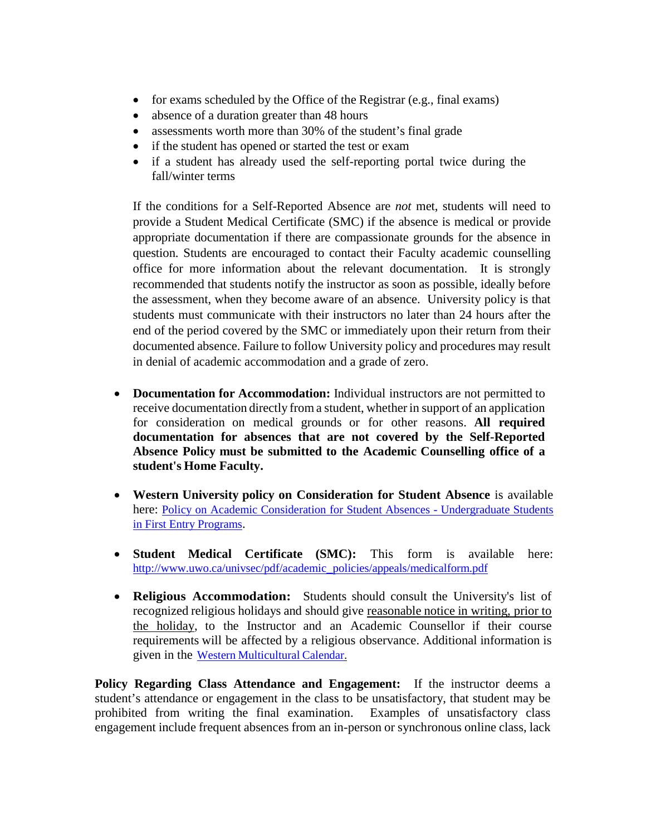- for exams scheduled by the Office of the Registrar (e.g., final exams)
- absence of a duration greater than 48 hours
- assessments worth more than 30% of the student's final grade
- if the student has opened or started the test or exam
- if a student has already used the self-reporting portal twice during the fall/winter terms

If the conditions for a Self-Reported Absence are *not* met, students will need to provide a Student Medical Certificate (SMC) if the absence is medical or provide appropriate documentation if there are compassionate grounds for the absence in question. Students are encouraged to contact their Faculty academic counselling office for more information about the relevant documentation. It is strongly recommended that students notify the instructor as soon as possible, ideally before the assessment, when they become aware of an absence. University policy is that students must communicate with their instructors no later than 24 hours after the end of the period covered by the SMC or immediately upon their return from their documented absence. Failure to follow University policy and procedures may result in denial of academic accommodation and a grade of zero.

- **Documentation for Accommodation:** Individual instructors are not permitted to receive documentation directly from a student, whether in support of an application for consideration on medical grounds or for other reasons. **All required documentation for absences that are not covered by the Self-Reported Absence Policy must be submitted to the Academic Counselling office of a student's Home Faculty.**
- **Western University policy on Consideration for Student Absence** is available here: [Policy on Academic Consideration for Student Absences -](https://www.uwo.ca/univsec/pdf/academic_policies/appeals/accommodation_illness.pdf) Undergraduate Students [in First Entry Programs.](https://www.uwo.ca/univsec/pdf/academic_policies/appeals/accommodation_illness.pdf)
- **Student Medical Certificate (SMC):** This form is available here: [http://www.uwo.ca/univsec/pdf/academic\\_policies/appeals/medicalform.pdf](http://www.uwo.ca/univsec/pdf/academic_policies/appeals/medicalform.pdf)
- **Religious Accommodation:** Students should consult the University's list of recognized religious holidays and should give reasonable notice in writing, prior to the holiday, to the Instructor and an Academic Counsellor if their course requirements will be affected by a religious observance. Additional information is given in the Western [Multicultural](https://multiculturalcalendar.com/ecal/index.php?s=c-univwo) Calendar.

**Policy Regarding Class Attendance and Engagement:** If the instructor deems a student's attendance or engagement in the class to be unsatisfactory, that student may be prohibited from writing the final examination. Examples of unsatisfactory class engagement include frequent absences from an in-person or synchronous online class, lack